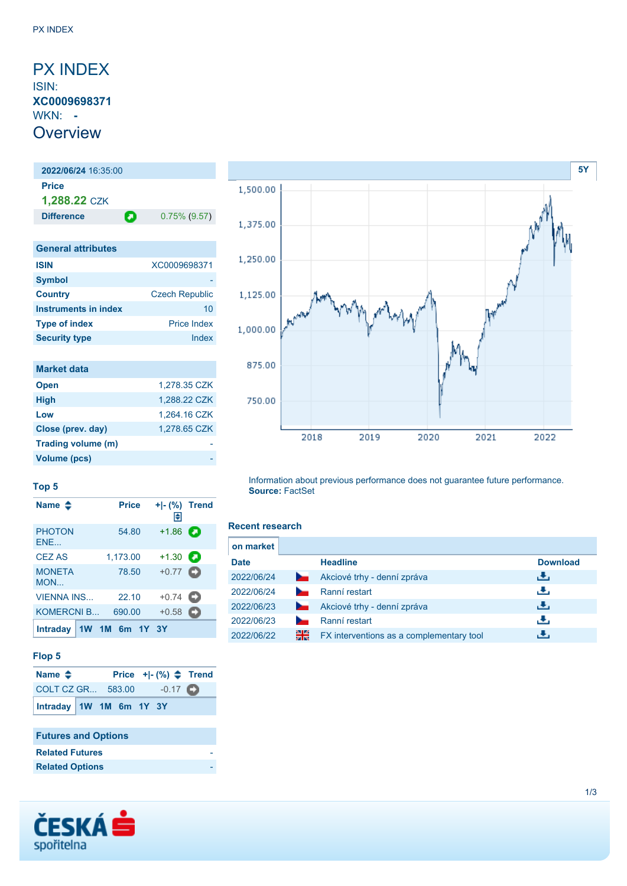## <span id="page-0-0"></span>PX INDEX ISIN: **XC0009698371** WKN: **- Overview**

# **2022/06/24** 16:35:00 **Price 1,288.22** CZK **Difference 0.75% (9.57) General attributes ISIN** XC0009698371 **Symbol**

| <b>Country</b>       | <b>Czech Republic</b> |
|----------------------|-----------------------|
| Instruments in index | 10                    |
| <b>Type of index</b> | <b>Price Index</b>    |
| <b>Security type</b> | Index                 |

| <b>Market data</b> |              |
|--------------------|--------------|
| <b>Open</b>        | 1,278.35 CZK |
| <b>High</b>        | 1,288.22 CZK |
| Low                | 1,264.16 CZK |
| Close (prev. day)  | 1.278.65 CZK |
| Trading volume (m) |              |
| Volume (pcs)       |              |



#### **Top 5**

| Name $\clubsuit$     | <b>Price</b>   | Π€                | $+I-(\%)$ Trend |
|----------------------|----------------|-------------------|-----------------|
| <b>PHOTON</b><br>ENE | 54.80          | $+1.86$           | О               |
| <b>CEZ AS</b>        | 1,173.00       | $+1.30$           | о               |
| <b>MONETA</b><br>MON | 78.50          | $+0.77$ $\bullet$ |                 |
| <b>VIENNA INS</b>    | 22.10          | $+0.74$           | О               |
| <b>KOMERCNI B</b>    | 690.00         | $+0.58$           |                 |
| <b>Intraday</b>      | 1W 1M 6m 1Y 3Y |                   |                 |

#### **Flop 5**

| Name $\triangle$        |  |  | Price $+$ $\mid$ - $\binom{9}{0}$ $\spadesuit$ Trend |  |
|-------------------------|--|--|------------------------------------------------------|--|
| COLT CZ GR 583.00 -0.17 |  |  |                                                      |  |
| Intraday 1W 1M 6m 1Y 3Y |  |  |                                                      |  |

### **Futures and Options**

| <b>Related Futures</b> |  |
|------------------------|--|
| <b>Related Options</b> |  |



Information about previous performance does not guarantee future performance. **Source:** FactSet

#### **Recent research**

| on market   |                |                                          |                 |
|-------------|----------------|------------------------------------------|-----------------|
| <b>Date</b> |                | <b>Headline</b>                          | <b>Download</b> |
| 2022/06/24  | $\sim$         | Akciové trhy - denní zpráva              | رنان            |
| 2022/06/24  |                | Ranní restart                            | رنان            |
| 2022/06/23  | <b>Service</b> | Akciové trhy - denní zpráva              | رنان            |
| 2022/06/23  |                | Ranní restart                            | رنان            |
| 2022/06/22  | 제조<br>전통       | FX interventions as a complementary tool | υ.              |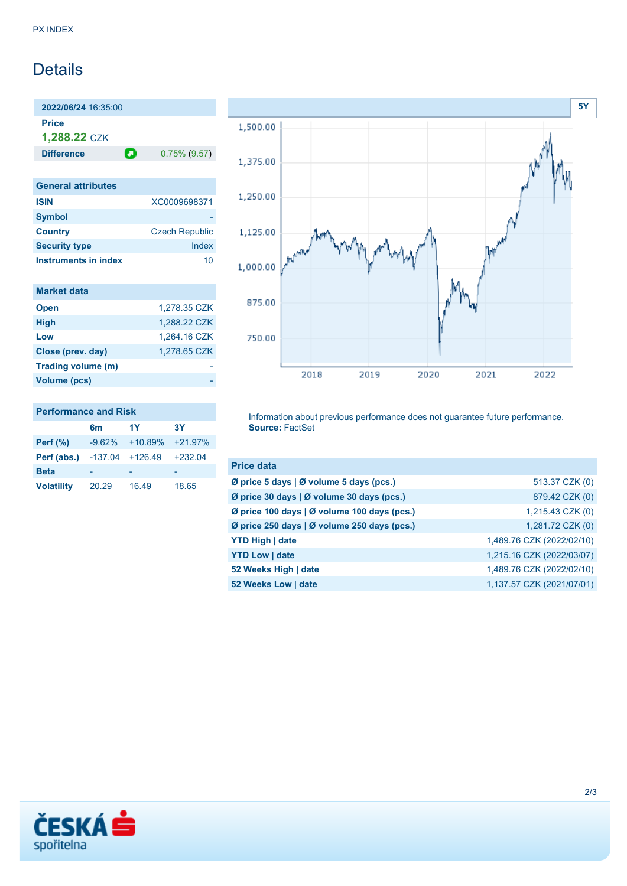# **Details**

**2022/06/24** 16:35:00 **Price 1,288.22** CZK

**Difference 0.75% (9.57)** 

| <b>General attributes</b>   |                       |
|-----------------------------|-----------------------|
| <b>ISIN</b>                 | XC0009698371          |
| <b>Symbol</b>               |                       |
| <b>Country</b>              | <b>Czech Republic</b> |
| <b>Security type</b>        | Index                 |
| <b>Instruments in index</b> | 10                    |

| <b>Market data</b> |              |
|--------------------|--------------|
| <b>Open</b>        | 1,278.35 CZK |
| <b>High</b>        | 1,288.22 CZK |
| Low                | 1,264.16 CZK |
| Close (prev. day)  | 1,278.65 CZK |
| Trading volume (m) |              |
| Volume (pcs)       |              |

## **Performance and Risk**

|                   | 6 <sub>m</sub> | 1Y        | <b>3Y</b> |
|-------------------|----------------|-----------|-----------|
| Perf $(\%)$       | $-9.62%$       | $+10.89%$ | $+21.97%$ |
| Perf (abs.)       | $-137.04$      | +126.49   | $+232.04$ |
| <b>Beta</b>       |                |           |           |
| <b>Volatility</b> | 20.29          | 16.49     | 18.65     |



Information about previous performance does not guarantee future performance. **Source:** FactSet

| <b>Price data</b>                           |                           |
|---------------------------------------------|---------------------------|
| Ø price 5 days   Ø volume 5 days (pcs.)     | 513.37 CZK (0)            |
| Ø price 30 days   Ø volume 30 days (pcs.)   | 879.42 CZK (0)            |
| Ø price 100 days   Ø volume 100 days (pcs.) | 1,215.43 CZK (0)          |
| Ø price 250 days   Ø volume 250 days (pcs.) | 1,281.72 CZK (0)          |
| <b>YTD High   date</b>                      | 1,489.76 CZK (2022/02/10) |
| <b>YTD Low   date</b>                       | 1,215.16 CZK (2022/03/07) |
| 52 Weeks High   date                        | 1,489.76 CZK (2022/02/10) |
| 52 Weeks Low   date                         | 1,137.57 CZK (2021/07/01) |